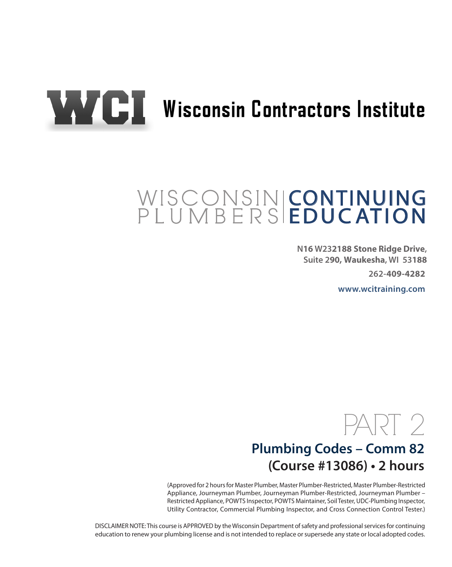

# WAYCI Wisconsin Contractors Institute

#### **CONTINUING EDUCATION** WISCONSINI PLUMBERS

**N16 W232188 Stone Ridge Drive, Suite 290, Waukesha, WI 53188**

**262-409-4282**

**www.wcitraining.com**



## **Plumbing Codes – Comm 82 (Course #13086) • 2 hours**

(Approved for 2 hours for Master Plumber, Master Plumber-Restricted, Master Plumber-Restricted Appliance, Journeyman Plumber, Journeyman Plumber-Restricted, Journeyman Plumber – Restricted Appliance, POWTS Inspector, POWTS Maintainer, Soil Tester, UDC-Plumbing Inspector, Utility Contractor, Commercial Plumbing Inspector, and Cross Connection Control Tester.)

DISCLAIMER NOTE: This course is APPROVED by the Wisconsin Department of safety and professional services for continuing education to renew your plumbing license and is not intended to replace or supersede any state or local adopted codes.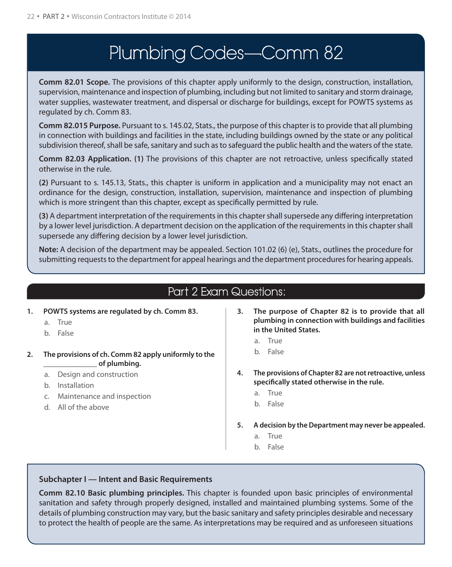## Plumbing Codes—Comm 82

**Comm 82.01 Scope.** The provisions of this chapter apply uniformly to the design, construction, installation, supervision, maintenance and inspection of plumbing, including but not limited to sanitary and storm drainage, water supplies, wastewater treatment, and dispersal or discharge for buildings, except for POWTS systems as regulated by ch. Comm 83.

**Comm 82.015 Purpose.** Pursuant to s. 145.02, Stats., the purpose of this chapter is to provide that all plumbing in connection with buildings and facilities in the state, including buildings owned by the state or any political subdivision thereof, shall be safe, sanitary and such as to safeguard the public health and the waters of the state.

**Comm 82.03 Application. (1)** The provisions of this chapter are not retroactive, unless specifically stated otherwise in the rule.

**(2)** Pursuant to s. 145.13, Stats., this chapter is uniform in application and a municipality may not enact an ordinance for the design, construction, installation, supervision, maintenance and inspection of plumbing which is more stringent than this chapter, except as specifically permitted by rule.

**(3)** A department interpretation of the requirements in this chapter shall supersede any differing interpretation by a lower level jurisdiction. A department decision on the application of the requirements in this chapter shall supersede any differing decision by a lower level jurisdiction.

**Note:** A decision of the department may be appealed. Section 101.02 (6) (e), Stats., outlines the procedure for submitting requests to the department for appeal hearings and the department procedures for hearing appeals.

## Part 2 Exam Questions:

- **1. POWTS systems are regulated by ch. Comm 83.**
	- a. True
	- b. False
- **2. The provisions of ch. Comm 82 apply uniformly to the \_\_\_\_\_\_\_\_\_\_\_\_\_\_ of plumbing.**
	- a. Design and construction
	- b. Installation
	- c. Maintenance and inspection
	- d. All of the above
- **3. The purpose of Chapter 82 is to provide that all plumbing in connection with buildings and facilities in the United States.**
	- a. True
	- b. False
- **4. The provisions of Chapter 82 are not retroactive, unless specifically stated otherwise in the rule.**
	- a. True
	- b. False
- **5. A decision by the Department may never be appealed.**
	- a. True
	- b. False

#### **Subchapter I — Intent and Basic Requirements**

**Comm 82.10 Basic plumbing principles.** This chapter is founded upon basic principles of environmental sanitation and safety through properly designed, installed and maintained plumbing systems. Some of the details of plumbing construction may vary, but the basic sanitary and safety principles desirable and necessary to protect the health of people are the same. As interpretations may be required and as unforeseen situations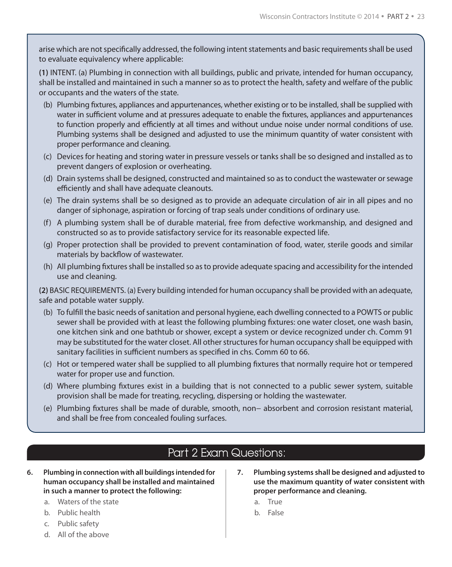arise which are not specifically addressed, the following intent statements and basic requirements shall be used to evaluate equivalency where applicable:

**(1)** INTENT. (a) Plumbing in connection with all buildings, public and private, intended for human occupancy, shall be installed and maintained in such a manner so as to protect the health, safety and welfare of the public or occupants and the waters of the state.

- (b) Plumbing fixtures, appliances and appurtenances, whether existing or to be installed, shall be supplied with water in sufficient volume and at pressures adequate to enable the fixtures, appliances and appurtenances to function properly and efficiently at all times and without undue noise under normal conditions of use. Plumbing systems shall be designed and adjusted to use the minimum quantity of water consistent with proper performance and cleaning.
- (c) Devices for heating and storing water in pressure vessels or tanks shall be so designed and installed as to prevent dangers of explosion or overheating.
- (d) Drain systems shall be designed, constructed and maintained so as to conduct the wastewater or sewage efficiently and shall have adequate cleanouts.
- (e) The drain systems shall be so designed as to provide an adequate circulation of air in all pipes and no danger of siphonage, aspiration or forcing of trap seals under conditions of ordinary use.
- (f) A plumbing system shall be of durable material, free from defective workmanship, and designed and constructed so as to provide satisfactory service for its reasonable expected life.
- (g) Proper protection shall be provided to prevent contamination of food, water, sterile goods and similar materials by backflow of wastewater.
- (h) All plumbing fixtures shall be installed so as to provide adequate spacing and accessibility for the intended use and cleaning.

**(2)** BASIC REQUIREMENTS. (a) Every building intended for human occupancy shall be provided with an adequate, safe and potable water supply.

- (b) To fulfill the basic needs of sanitation and personal hygiene, each dwelling connected to a POWTS or public sewer shall be provided with at least the following plumbing fixtures: one water closet, one wash basin, one kitchen sink and one bathtub or shower, except a system or device recognized under ch. Comm 91 may be substituted for the water closet. All other structures for human occupancy shall be equipped with sanitary facilities in sufficient numbers as specified in chs. Comm 60 to 66.
- (c) Hot or tempered water shall be supplied to all plumbing fixtures that normally require hot or tempered water for proper use and function.
- (d) Where plumbing fixtures exist in a building that is not connected to a public sewer system, suitable provision shall be made for treating, recycling, dispersing or holding the wastewater.
- (e) Plumbing fixtures shall be made of durable, smooth, non− absorbent and corrosion resistant material, and shall be free from concealed fouling surfaces.

## Part 2 Exam Questions:

- **6. Plumbing in connection with all buildings intended for human occupancy shall be installed and maintained in such a manner to protect the following:**
	- a. Waters of the state
	- b. Public health
	- c. Public safety
	- d. All of the above
- **7. Plumbing systems shall be designed and adjusted to use the maximum quantity of water consistent with proper performance and cleaning.**
	- a. True
	- b. False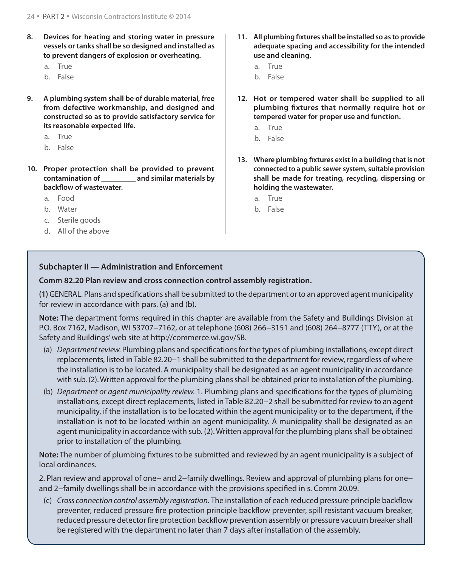- **8. Devices for heating and storing water in pressure vessels or tanks shall be so designed and installed as to prevent dangers of explosion or overheating.**
	- a. True
	- b. False
- **9. A plumbing system shall be of durable material, free from defective workmanship, and designed and constructed so as to provide satisfactory service for its reasonable expected life.**
	- a. True
	- b. False
- **10. Proper protection shall be provided to prevent contamination of \_\_\_\_\_\_\_\_\_ and similar materials by backflow of wastewater.**
	- a. Food
	- b. Water
	- c. Sterile goods
	- d. All of the above
- **11. All plumbing fixtures shall be installed so as to provide adequate spacing and accessibility for the intended use and cleaning.**
	- a. True
	- b. False
- **12. Hot or tempered water shall be supplied to all plumbing fixtures that normally require hot or tempered water for proper use and function.**
	- a. True
	- b. False
- **13. Where plumbing fixtures exist in a building that is not connected to a public sewer system, suitable provision shall be made for treating, recycling, dispersing or holding the wastewater.**
	- a. True
	- b. False

#### **Subchapter II — Administration and Enforcement**

**Comm 82.20 Plan review and cross connection control assembly registration.** 

**(1)** GENERAL. Plans and specifications shall be submitted to the department or to an approved agent municipality for review in accordance with pars. (a) and (b).

**Note:** The department forms required in this chapter are available from the Safety and Buildings Division at P.O. Box 7162, Madison, WI 53707−7162, or at telephone (608) 266−3151 and (608) 264−8777 (TTY), or at the Safety and Buildings'web site at http://commerce.wi.gov/SB.

- (a) *Department review.* Plumbing plans and specifications for the types of plumbing installations, except direct replacements, listed in Table 82.20−1 shall be submitted to the department for review, regardless of where the installation is to be located. A municipality shall be designated as an agent municipality in accordance with sub. (2). Written approval for the plumbing plans shall be obtained prior to installation of the plumbing.
- (b) *Department or agent municipality review.* 1. Plumbing plans and specifications for the types of plumbing installations, except direct replacements, listed in Table 82.20−2 shall be submitted for review to an agent municipality, if the installation is to be located within the agent municipality or to the department, if the installation is not to be located within an agent municipality. A municipality shall be designated as an agent municipality in accordance with sub. (2). Written approval for the plumbing plans shall be obtained prior to installation of the plumbing.

**Note:** The number of plumbing fixtures to be submitted and reviewed by an agent municipality is a subject of local ordinances.

2. Plan review and approval of one− and 2−family dwellings. Review and approval of plumbing plans for one− and 2−family dwellings shall be in accordance with the provisions specified in s. Comm 20.09.

(c) *Cross connection control assembly registration.* The installation of each reduced pressure principle backflow preventer, reduced pressure fire protection principle backflow preventer, spill resistant vacuum breaker, reduced pressure detector fire protection backflow prevention assembly or pressure vacuum breaker shall be registered with the department no later than 7 days after installation of the assembly.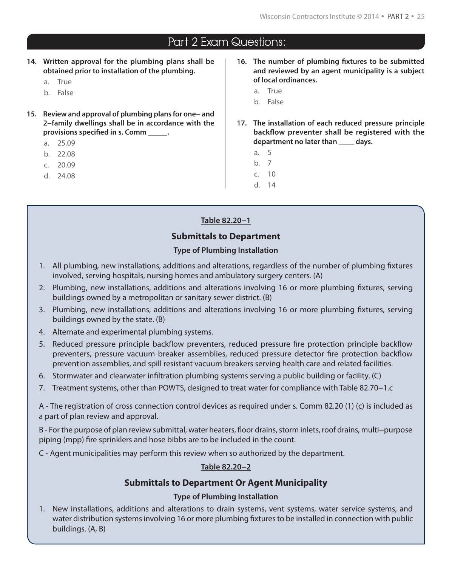- **14. Written approval for the plumbing plans shall be obtained prior to installation of the plumbing.**
	- a. True
	- b. False
- **15. Review and approval of plumbing plans for one− and 2−family dwellings shall be in accordance with the provisions specified in s. Comm \_\_\_\_\_.**
	- a. 25.09
	- b. 22.08
	- c. 20.09
	- d. 24.08
- **16. The number of plumbing fixtures to be submitted and reviewed by an agent municipality is a subject of local ordinances.**
	- a. True
	- b. False
- **17. The installation of each reduced pressure principle backflow preventer shall be registered with the department no later than \_\_\_\_ days.**
	- a. 5
	- b. 7
	- c. 10
	- d. 14

#### **Table 82.20−1**

#### **Submittals to Department**

#### **Type of Plumbing Installation**

- 1. All plumbing, new installations, additions and alterations, regardless of the number of plumbing fixtures involved, serving hospitals, nursing homes and ambulatory surgery centers. (A)
- 2. Plumbing, new installations, additions and alterations involving 16 or more plumbing fixtures, serving buildings owned by a metropolitan or sanitary sewer district. (B)
- 3. Plumbing, new installations, additions and alterations involving 16 or more plumbing fixtures, serving buildings owned by the state. (B)
- 4. Alternate and experimental plumbing systems.
- 5. Reduced pressure principle backflow preventers, reduced pressure fire protection principle backflow preventers, pressure vacuum breaker assemblies, reduced pressure detector fire protection backflow prevention assemblies, and spill resistant vacuum breakers serving health care and related facilities.
- 6. Stormwater and clearwater infiltration plumbing systems serving a public building or facility. (C)
- 7. Treatment systems, other than POWTS, designed to treat water for compliance with Table 82.70−1.c

A - The registration of cross connection control devices as required under s. Comm 82.20 (1) (c) is included as a part of plan review and approval.

B - For the purpose of plan review submittal, water heaters, floor drains, storm inlets, roof drains, multi−purpose piping (mpp) fire sprinklers and hose bibbs are to be included in the count.

C - Agent municipalities may perform this review when so authorized by the department.

#### **Table 82.20−2**

#### **Submittals to Department Or Agent Municipality**

#### **Type of Plumbing Installation**

1. New installations, additions and alterations to drain systems, vent systems, water service systems, and water distribution systems involving 16 or more plumbing fixtures to be installed in connection with public buildings. (A, B)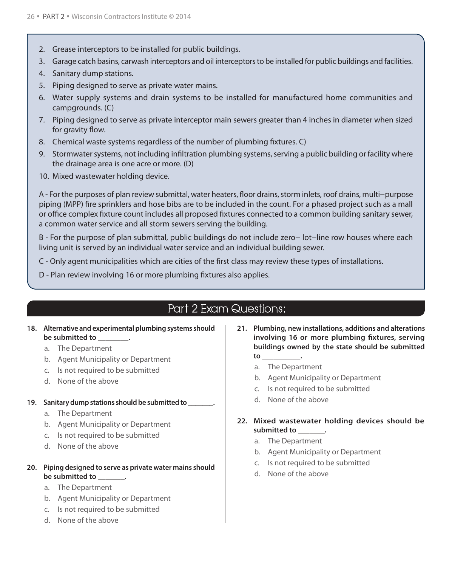- 2. Grease interceptors to be installed for public buildings.
- 3. Garage catch basins, carwash interceptors and oil interceptors to be installed for public buildings and facilities.
- 4. Sanitary dump stations.
- 5. Piping designed to serve as private water mains.
- 6. Water supply systems and drain systems to be installed for manufactured home communities and campgrounds. (C)
- 7. Piping designed to serve as private interceptor main sewers greater than 4 inches in diameter when sized for gravity flow.
- 8. Chemical waste systems regardless of the number of plumbing fixtures. C)
- 9. Stormwater systems, not including infiltration plumbing systems, serving a public building or facility where the drainage area is one acre or more. (D)
- 10. Mixed wastewater holding device.

A - For the purposes of plan review submittal, water heaters, floor drains, storm inlets, roof drains, multi−purpose piping (MPP) fire sprinklers and hose bibs are to be included in the count. For a phased project such as a mall or office complex fixture count includes all proposed fixtures connected to a common building sanitary sewer, a common water service and all storm sewers serving the building.

B - For the purpose of plan submittal, public buildings do not include zero− lot−line row houses where each living unit is served by an individual water service and an individual building sewer.

C - Only agent municipalities which are cities of the first class may review these types of installations.

D - Plan review involving 16 or more plumbing fixtures also applies.

## Part 2 Exam Questions:

- **18. Alternative and experimental plumbing systems should be submitted to \_\_\_\_\_\_\_\_.**
	- a. The Department
	- b. Agent Municipality or Department
	- c. Is not required to be submitted
	- d. None of the above

#### **19. Sanitary dump stations should be submitted to \_\_\_\_\_\_\_.**

- a. The Department
- b. Agent Municipality or Department
- c. Is not required to be submitted
- d. None of the above

#### **20. Piping designed to serve as private water mains should be submitted to \_\_\_\_\_\_\_.**

- a. The Department
- b. Agent Municipality or Department
- c. Is not required to be submitted
- d. None of the above
- **21. Plumbing, new installations, additions and alterations involving 16 or more plumbing fixtures, serving buildings owned by the state should be submitted to \_\_\_\_\_\_\_\_\_\_.**
	- a. The Department
	- b. Agent Municipality or Department
	- c. Is not required to be submitted
	- d. None of the above

#### **22. Mixed wastewater holding devices should be submitted to \_\_\_\_\_\_\_.**

- a. The Department
- b. Agent Municipality or Department
- c. Is not required to be submitted
- d. None of the above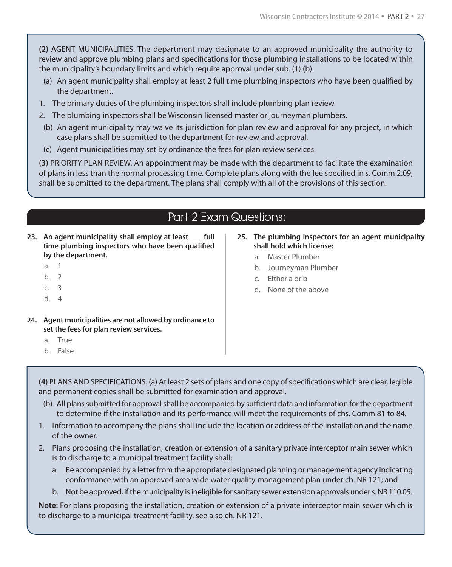**(2)** AGENT MUNICIPALITIES. The department may designate to an approved municipality the authority to review and approve plumbing plans and specifications for those plumbing installations to be located within the municipality's boundary limits and which require approval under sub. (1) (b).

- (a) An agent municipality shall employ at least 2 full time plumbing inspectors who have been qualified by the department.
- 1. The primary duties of the plumbing inspectors shall include plumbing plan review.
- 2. The plumbing inspectors shall be Wisconsin licensed master or journeyman plumbers.
- (b) An agent municipality may waive its jurisdiction for plan review and approval for any project, in which case plans shall be submitted to the department for review and approval.
- (c) Agent municipalities may set by ordinance the fees for plan review services.

**(3)** PRIORITY PLAN REVIEW. An appointment may be made with the department to facilitate the examination of plans in less than the normal processing time. Complete plans along with the fee specified in s. Comm 2.09, shall be submitted to the department. The plans shall comply with all of the provisions of this section.

## Part 2 Exam Questions:

- **23. An agent municipality shall employ at least \_\_\_ full time plumbing inspectors who have been qualified by the department.**
	- a. 1
	- b. 2
	- c. 3
	- d. 4
- **24. Agent municipalities are not allowed by ordinance to set the fees for plan review services.**
	- a. True
	- b. False

#### **25. The plumbing inspectors for an agent municipality shall hold which license:**

- a. Master Plumber
- b. Journeyman Plumber
- c. Either a or b
- d. None of the above

**(4)** PLANS AND SPECIFICATIONS. (a) At least 2 sets of plans and one copy of specifications which are clear, legible and permanent copies shall be submitted for examination and approval.

- (b) All plans submitted for approval shall be accompanied by sufficient data and information for the department to determine if the installation and its performance will meet the requirements of chs. Comm 81 to 84.
- 1. Information to accompany the plans shall include the location or address of the installation and the name of the owner.
- 2. Plans proposing the installation, creation or extension of a sanitary private interceptor main sewer which is to discharge to a municipal treatment facility shall:
	- a. Be accompanied by a letter from the appropriate designated planning or management agency indicating conformance with an approved area wide water quality management plan under ch. NR 121; and
	- b. Not be approved, if the municipality is ineligible for sanitary sewer extension approvals under s. NR 110.05.

**Note:** For plans proposing the installation, creation or extension of a private interceptor main sewer which is to discharge to a municipal treatment facility, see also ch. NR 121.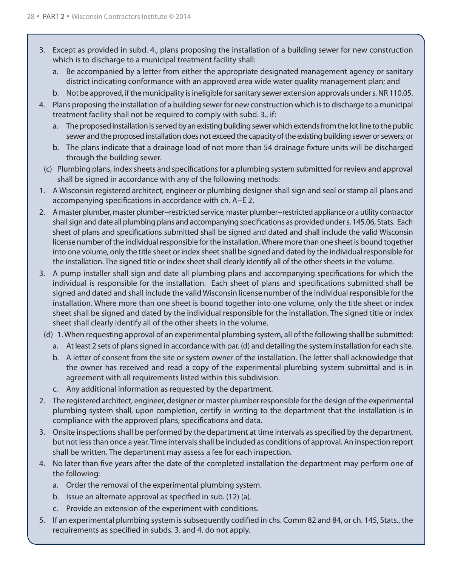- 3. Except as provided in subd. 4., plans proposing the installation of a building sewer for new construction which is to discharge to a municipal treatment facility shall:
	- a. Be accompanied by a letter from either the appropriate designated management agency or sanitary district indicating conformance with an approved area wide water quality management plan; and
	- b. Not be approved, if the municipality is ineligible for sanitary sewer extension approvals under s. NR 110.05.
- 4. Plans proposing the installation of a building sewer for new construction which is to discharge to a municipal treatment facility shall not be required to comply with subd. 3., if:
	- a. The proposed installation is served by an existing building sewer which extends from the lot line to the public sewer and the proposed installation does not exceed the capacity of the existing building sewer or sewers; or
	- b. The plans indicate that a drainage load of not more than 54 drainage fixture units will be discharged through the building sewer.
- (c) Plumbing plans, index sheets and specifications for a plumbing system submitted for review and approval shall be signed in accordance with any of the following methods:
- 1. A Wisconsin registered architect, engineer or plumbing designer shall sign and seal or stamp all plans and accompanying specifications in accordance with ch. A−E 2.
- 2. A master plumber, master plumber−restricted service, master plumber−restricted appliance or a utility contractor shall sign and date all plumbing plans and accompanying specifications as provided under s. 145.06, Stats. Each sheet of plans and specifications submitted shall be signed and dated and shall include the valid Wisconsin license number of the individual responsible for the installation. Where more than one sheet is bound together into one volume, only the title sheet or index sheet shall be signed and dated by the individual responsible for the installation. The signed title or index sheet shall clearly identify all of the other sheets in the volume.
- 3. A pump installer shall sign and date all plumbing plans and accompanying specifications for which the individual is responsible for the installation. Each sheet of plans and specifications submitted shall be signed and dated and shall include the valid Wisconsin license number of the individual responsible for the installation. Where more than one sheet is bound together into one volume, only the title sheet or index sheet shall be signed and dated by the individual responsible for the installation. The signed title or index sheet shall clearly identify all of the other sheets in the volume.
- (d) 1. When requesting approval of an experimental plumbing system, all of the following shall be submitted:
	- a. At least 2 sets of plans signed in accordance with par. (d) and detailing the system installation for each site.
	- b. A letter of consent from the site or system owner of the installation. The letter shall acknowledge that the owner has received and read a copy of the experimental plumbing system submittal and is in agreement with all requirements listed within this subdivision.
	- c. Any additional information as requested by the department.
- 2. The registered architect, engineer, designer or master plumber responsible for the design of the experimental plumbing system shall, upon completion, certify in writing to the department that the installation is in compliance with the approved plans, specifications and data.
- 3. Onsite inspections shall be performed by the department at time intervals as specified by the department, but not less than once a year. Time intervals shall be included as conditions of approval. An inspection report shall be written. The department may assess a fee for each inspection.
- 4. No later than five years after the date of the completed installation the department may perform one of the following:
	- a. Order the removal of the experimental plumbing system.
	- b. Issue an alternate approval as specified in sub. (12) (a).
	- c. Provide an extension of the experiment with conditions.
- 5. If an experimental plumbing system is subsequently codified in chs. Comm 82 and 84, or ch. 145, Stats., the requirements as specified in subds. 3. and 4. do not apply.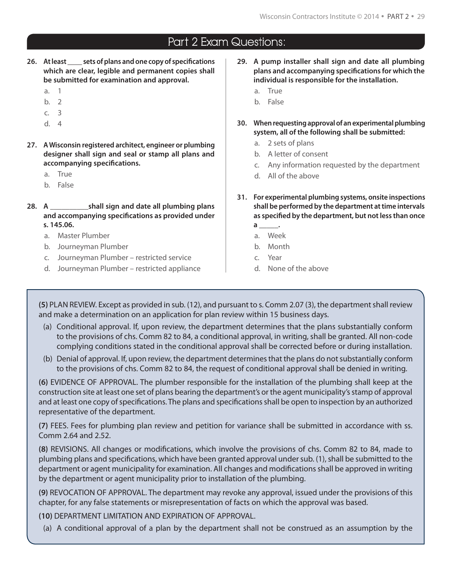- **26. At least \_\_\_\_ sets of plans and one copy of specifications which are clear, legible and permanent copies shall be submitted for examination and approval.**
	- a. 1
	- b. 2
	- c. 3
	- d. 4
- **27. A Wisconsin registered architect, engineer or plumbing designer shall sign and seal or stamp all plans and accompanying specifications.**
	- a. True
	- b. False
- **28. A \_\_\_\_\_\_\_\_\_\_shall sign and date all plumbing plans and accompanying specifications as provided under s. 145.06.**
	- a. Master Plumber
	- b. Journeyman Plumber
	- c. Journeyman Plumber restricted service
	- d. Journeyman Plumber restricted appliance
- **29. A pump installer shall sign and date all plumbing plans and accompanying specifications for which the individual is responsible for the installation.** 
	- a. True
	- b. False
- **30. When requesting approval of an experimental plumbing system, all of the following shall be submitted:**
	- a. 2 sets of plans
	- b. A letter of consent
	- c. Any information requested by the department
	- d. All of the above
- **31. For experimental plumbing systems, onsite inspections shall be performed by the department at time intervals as specified by the department, but not less than once** 
	- **a \_\_\_\_\_.**
	- a. Week
	- b. Month
	- c. Year
	- d. None of the above

**(5)** PLAN REVIEW. Except as provided in sub. (12), and pursuant to s. Comm 2.07 (3), the department shall review and make a determination on an application for plan review within 15 business days.

- (a) Conditional approval. If, upon review, the department determines that the plans substantially conform to the provisions of chs. Comm 82 to 84, a conditional approval, in writing, shall be granted. All non-code complying conditions stated in the conditional approval shall be corrected before or during installation.
- (b) Denial of approval. If, upon review, the department determines that the plans do not substantially conform to the provisions of chs. Comm 82 to 84, the request of conditional approval shall be denied in writing.

**(6)** EVIDENCE OF APPROVAL. The plumber responsible for the installation of the plumbing shall keep at the construction site at least one set of plans bearing the department's or the agent municipality's stamp of approval and at least one copy of specifications. The plans and specifications shall be open to inspection by an authorized representative of the department.

**(7)** FEES. Fees for plumbing plan review and petition for variance shall be submitted in accordance with ss. Comm 2.64 and 2.52.

**(8)** REVISIONS. All changes or modifications, which involve the provisions of chs. Comm 82 to 84, made to plumbing plans and specifications, which have been granted approval under sub. (1), shall be submitted to the department or agent municipality for examination. All changes and modifications shall be approved in writing by the department or agent municipality prior to installation of the plumbing.

**(9)** REVOCATION OF APPROVAL. The department may revoke any approval, issued under the provisions of this chapter, for any false statements or misrepresentation of facts on which the approval was based.

**(10)** DEPARTMENT LIMITATION AND EXPIRATION OF APPROVAL.

(a) A conditional approval of a plan by the department shall not be construed as an assumption by the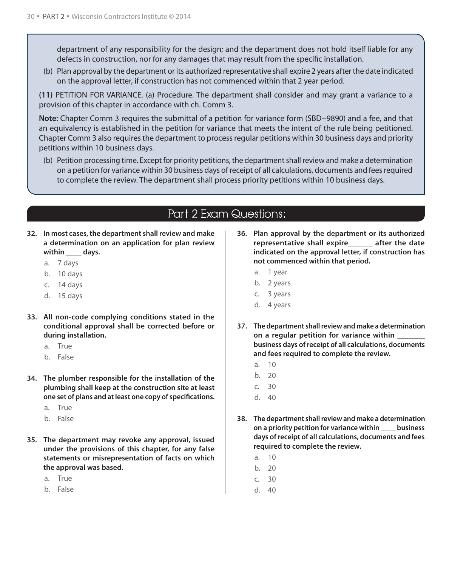department of any responsibility for the design; and the department does not hold itself liable for any defects in construction, nor for any damages that may result from the specific installation.

(b) Plan approval by the department or its authorized representative shall expire 2 years after the date indicated on the approval letter, if construction has not commenced within that 2 year period.

**(11)** PETITION FOR VARIANCE. (a) Procedure. The department shall consider and may grant a variance to a provision of this chapter in accordance with ch. Comm 3.

**Note:** Chapter Comm 3 requires the submittal of a petition for variance form (SBD−9890) and a fee, and that an equivalency is established in the petition for variance that meets the intent of the rule being petitioned. Chapter Comm 3 also requires the department to process regular petitions within 30 business days and priority petitions within 10 business days.

(b) Petition processing time. Except for priority petitions, the department shall review and make a determination on a petition for variance within 30 business days of receipt of all calculations, documents and fees required to complete the review. The department shall process priority petitions within 10 business days.

## Part 2 Exam Questions:

- **32. In most cases, the department shall review and make a determination on an application for plan review**  within days.
	- a. 7 days
	- b. 10 days
	- c. 14 days
	- d. 15 days
- **33. All non-code complying conditions stated in the conditional approval shall be corrected before or during installation.**
	- a. True
	- b. False
- **34. The plumber responsible for the installation of the plumbing shall keep at the construction site at least one set of plans and at least one copy of specifications.**
	- a. True
	- b. False
- **35. The department may revoke any approval, issued under the provisions of this chapter, for any false statements or misrepresentation of facts on which the approval was based.**
	- a. True
	- b. False
- **36. Plan approval by the department or its authorized representative shall expire\_\_\_\_\_\_ after the date indicated on the approval letter, if construction has not commenced within that period.**
	- a. 1 year
	- b. 2 years
	- c. 3 years
	- d. 4 years
- **37. The department shall review and make a determination on a regular petition for variance within \_\_\_\_\_\_\_ business days of receipt of all calculations, documents and fees required to complete the review.**
	- a. 10
	- b. 20
	- c. 30
	- d. 40
- **38. The department shall review and make a determination on a priority petition for variance within \_\_\_\_ business days of receipt of all calculations, documents and fees required to complete the review.**
	- a. 10
	- b. 20
	- c. 30
	- d. 40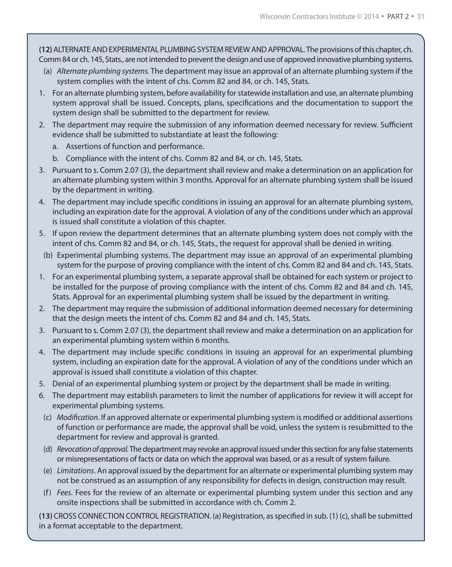**(12)** ALTERNATE AND EXPERIMENTAL PLUMBING SYSTEM REVIEW AND APPROVAL. The provisions of this chapter, ch. Comm 84 or ch. 145, Stats., are not intended to prevent the design and use of approved innovative plumbing systems.

- (a) *Alternate plumbing systems.* The department may issue an approval of an alternate plumbing system if the system complies with the intent of chs. Comm 82 and 84, or ch. 145, Stats.
- 1. For an alternate plumbing system, before availability for statewide installation and use, an alternate plumbing system approval shall be issued. Concepts, plans, specifications and the documentation to support the system design shall be submitted to the department for review.
- 2. The department may require the submission of any information deemed necessary for review. Sufficient evidence shall be submitted to substantiate at least the following:
	- a. Assertions of function and performance.
	- b. Compliance with the intent of chs. Comm 82 and 84, or ch. 145, Stats.
- 3. Pursuant to s. Comm 2.07 (3), the department shall review and make a determination on an application for an alternate plumbing system within 3 months. Approval for an alternate plumbing system shall be issued by the department in writing.
- 4. The department may include specific conditions in issuing an approval for an alternate plumbing system, including an expiration date for the approval. A violation of any of the conditions under which an approval is issued shall constitute a violation of this chapter.
- 5. If upon review the department determines that an alternate plumbing system does not comply with the intent of chs. Comm 82 and 84, or ch. 145, Stats., the request for approval shall be denied in writing.
- (b) Experimental plumbing systems. The department may issue an approval of an experimental plumbing system for the purpose of proving compliance with the intent of chs. Comm 82 and 84 and ch. 145, Stats.
- 1. For an experimental plumbing system, a separate approval shall be obtained for each system or project to be installed for the purpose of proving compliance with the intent of chs. Comm 82 and 84 and ch. 145, Stats. Approval for an experimental plumbing system shall be issued by the department in writing.
- 2. The department may require the submission of additional information deemed necessary for determining that the design meets the intent of chs. Comm 82 and 84 and ch. 145, Stats.
- 3. Pursuant to s. Comm 2.07 (3), the department shall review and make a determination on an application for an experimental plumbing system within 6 months.
- 4. The department may include specific conditions in issuing an approval for an experimental plumbing system, including an expiration date for the approval. A violation of any of the conditions under which an approval is issued shall constitute a violation of this chapter.
- 5. Denial of an experimental plumbing system or project by the department shall be made in writing.
- 6. The department may establish parameters to limit the number of applications for review it will accept for experimental plumbing systems.
- (c) *Modification*. If an approved alternate or experimental plumbing system is modified or additional assertions of function or performance are made, the approval shall be void, unless the system is resubmitted to the department for review and approval is granted.
- (d) *Revocation of approval.* The department may revoke an approval issued under this section for any false statements or misrepresentations of facts or data on which the approval was based, or as a result of system failure.
- (e) *Limitations*. An approval issued by the department for an alternate or experimental plumbing system may not be construed as an assumption of any responsibility for defects in design, construction may result.
- (f) *Fees*. Fees for the review of an alternate or experimental plumbing system under this section and any onsite inspections shall be submitted in accordance with ch. Comm 2.

**(13)** CROSS CONNECTION CONTROL REGISTRATION. (a) Registration, as specified in sub. (1) (c), shall be submitted in a format acceptable to the department.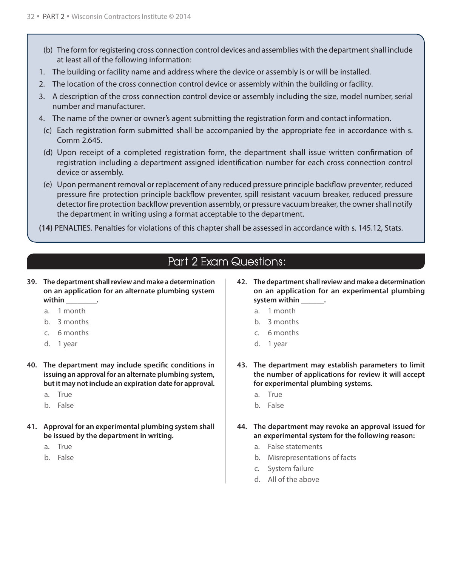- (b) The form for registering cross connection control devices and assemblies with the department shall include at least all of the following information:
- 1. The building or facility name and address where the device or assembly is or will be installed.
- 2. The location of the cross connection control device or assembly within the building or facility.
- 3. A description of the cross connection control device or assembly including the size, model number, serial number and manufacturer.
- 4. The name of the owner or owner's agent submitting the registration form and contact information.
- (c) Each registration form submitted shall be accompanied by the appropriate fee in accordance with s. Comm 2.645.
- (d) Upon receipt of a completed registration form, the department shall issue written confirmation of registration including a department assigned identification number for each cross connection control device or assembly.
- (e) Upon permanent removal or replacement of any reduced pressure principle backflow preventer, reduced pressure fire protection principle backflow preventer, spill resistant vacuum breaker, reduced pressure detector fire protection backflow prevention assembly, or pressure vacuum breaker, the owner shall notify the department in writing using a format acceptable to the department.
- **(14)** PENALTIES. Penalties for violations of this chapter shall be assessed in accordance with s. 145.12, Stats.

- **39. The department shall review and make a determination on an application for an alternate plumbing system within \_\_\_\_\_\_\_\_.**
	- a. 1 month
	- b. 3 months
	- c. 6 months
	- d. 1 year
- **40. The department may include specific conditions in issuing an approval for an alternate plumbing system, but it may not include an expiration date for approval.**
	- a. True
	- b. False
- **41. Approval for an experimental plumbing system shall be issued by the department in writing.**
	- a. True
	- b. False
- **42. The department shall review and make a determination on an application for an experimental plumbing system within \_\_\_\_\_\_.**
	- a. 1 month
	- b. 3 months
	- c. 6 months
	- d. 1 year
- **43. The department may establish parameters to limit the number of applications for review it will accept for experimental plumbing systems.**
	- a. True
	- b. False
- **44. The department may revoke an approval issued for an experimental system for the following reason:**
	- a. False statements
	- b. Misrepresentations of facts
	- c. System failure
	- d. All of the above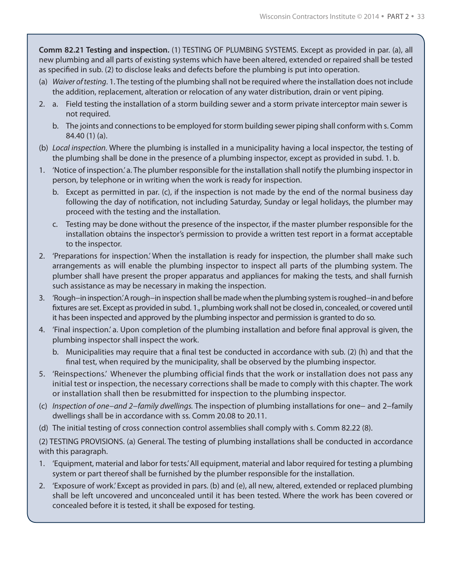**Comm 82.21 Testing and inspection.** (1) TESTING OF PLUMBING SYSTEMS. Except as provided in par. (a), all new plumbing and all parts of existing systems which have been altered, extended or repaired shall be tested as specified in sub. (2) to disclose leaks and defects before the plumbing is put into operation.

- (a) *Waiver of testing*. 1. The testing of the plumbing shall not be required where the installation does not include the addition, replacement, alteration or relocation of any water distribution, drain or vent piping.
- 2. a. Field testing the installation of a storm building sewer and a storm private interceptor main sewer is not required.
	- b. The joints and connections to be employed for storm building sewer piping shall conform with s. Comm 84.40 (1) (a).
- (b) *Local inspection.* Where the plumbing is installed in a municipality having a local inspector, the testing of the plumbing shall be done in the presence of a plumbing inspector, except as provided in subd. 1. b.
- 1. 'Notice of inspection.' a. The plumber responsible for the installation shall notify the plumbing inspector in person, by telephone or in writing when the work is ready for inspection.
	- b. Except as permitted in par. (c), if the inspection is not made by the end of the normal business day following the day of notification, not including Saturday, Sunday or legal holidays, the plumber may proceed with the testing and the installation.
	- c. Testing may be done without the presence of the inspector, if the master plumber responsible for the installation obtains the inspector's permission to provide a written test report in a format acceptable to the inspector.
- 2. 'Preparations for inspection.' When the installation is ready for inspection, the plumber shall make such arrangements as will enable the plumbing inspector to inspect all parts of the plumbing system. The plumber shall have present the proper apparatus and appliances for making the tests, and shall furnish such assistance as may be necessary in making the inspection.
- 3. 'Rough−in inspection.' A rough−in inspection shall be made when the plumbing system is roughed−in and before fixtures are set. Except as provided in subd. 1., plumbing work shall not be closed in, concealed, or covered until it has been inspected and approved by the plumbing inspector and permission is granted to do so.
- 4. 'Final inspection.' a. Upon completion of the plumbing installation and before final approval is given, the plumbing inspector shall inspect the work.
	- b. Municipalities may require that a final test be conducted in accordance with sub. (2) (h) and that the final test, when required by the municipality, shall be observed by the plumbing inspector.
- 5. 'Reinspections.' Whenever the plumbing official finds that the work or installation does not pass any initial test or inspection, the necessary corrections shall be made to comply with this chapter. The work or installation shall then be resubmitted for inspection to the plumbing inspector.
- (c) *Inspection of one−and 2−family dwellings.* The inspection of plumbing installations for one− and 2−family dwellings shall be in accordance with ss. Comm 20.08 to 20.11.
- (d) The initial testing of cross connection control assemblies shall comply with s. Comm 82.22 (8).

(2) TESTING PROVISIONS. (a) General. The testing of plumbing installations shall be conducted in accordance with this paragraph.

- 1. 'Equipment, material and labor for tests.' All equipment, material and labor required for testing a plumbing system or part thereof shall be furnished by the plumber responsible for the installation.
- 2. 'Exposure of work.' Except as provided in pars. (b) and (e), all new, altered, extended or replaced plumbing shall be left uncovered and unconcealed until it has been tested. Where the work has been covered or concealed before it is tested, it shall be exposed for testing.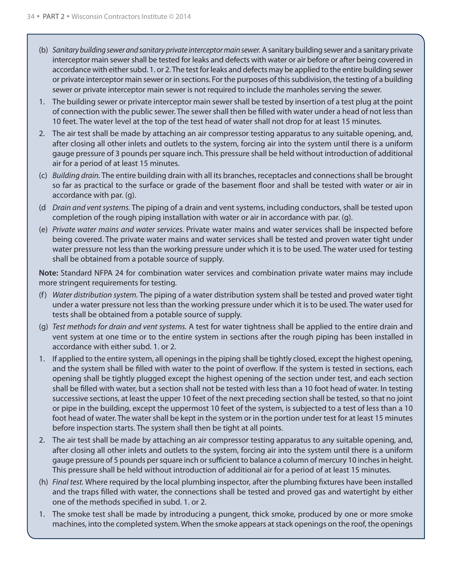- (b) *Sanitary building sewer and sanitary private interceptor main sewer.* A sanitary building sewer and a sanitary private interceptor main sewer shall be tested for leaks and defects with water or air before or after being covered in accordance with either subd. 1. or 2. The test for leaks and defects may be applied to the entire building sewer or private interceptor main sewer or in sections. For the purposes of this subdivision, the testing of a building sewer or private interceptor main sewer is not required to include the manholes serving the sewer.
- 1. The building sewer or private interceptor main sewer shall be tested by insertion of a test plug at the point of connection with the public sewer. The sewer shall then be filled with water under a head of not less than 10 feet. The water level at the top of the test head of water shall not drop for at least 15 minutes.
- 2. The air test shall be made by attaching an air compressor testing apparatus to any suitable opening, and, after closing all other inlets and outlets to the system, forcing air into the system until there is a uniform gauge pressure of 3 pounds per square inch. This pressure shall be held without introduction of additional air for a period of at least 15 minutes.
- (c) *Building drain.* The entire building drain with all its branches, receptacles and connections shall be brought so far as practical to the surface or grade of the basement floor and shall be tested with water or air in accordance with par. (g).
- (d *Drain and vent systems.* The piping of a drain and vent systems, including conductors, shall be tested upon completion of the rough piping installation with water or air in accordance with par. (g).
- (e) *Private water mains and water services.* Private water mains and water services shall be inspected before being covered. The private water mains and water services shall be tested and proven water tight under water pressure not less than the working pressure under which it is to be used. The water used for testing shall be obtained from a potable source of supply.

**Note:** Standard NFPA 24 for combination water services and combination private water mains may include more stringent requirements for testing.

- (f) *Water distribution system.* The piping of a water distribution system shall be tested and proved water tight under a water pressure not less than the working pressure under which it is to be used. The water used for tests shall be obtained from a potable source of supply.
- (g) *Test methods for drain and vent systems.* A test for water tightness shall be applied to the entire drain and vent system at one time or to the entire system in sections after the rough piping has been installed in accordance with either subd. 1. or 2.
- 1. If applied to the entire system, all openings in the piping shall be tightly closed, except the highest opening, and the system shall be filled with water to the point of overflow. If the system is tested in sections, each opening shall be tightly plugged except the highest opening of the section under test, and each section shall be filled with water, but a section shall not be tested with less than a 10 foot head of water. In testing successive sections, at least the upper 10 feet of the next preceding section shall be tested, so that no joint or pipe in the building, except the uppermost 10 feet of the system, is subjected to a test of less than a 10 foot head of water. The water shall be kept in the system or in the portion under test for at least 15 minutes before inspection starts. The system shall then be tight at all points.
- 2. The air test shall be made by attaching an air compressor testing apparatus to any suitable opening, and, after closing all other inlets and outlets to the system, forcing air into the system until there is a uniform gauge pressure of 5 pounds per square inch or sufficient to balance a column of mercury 10 inches in height. This pressure shall be held without introduction of additional air for a period of at least 15 minutes.
- (h) *Final test.* Where required by the local plumbing inspector, after the plumbing fixtures have been installed and the traps filled with water, the connections shall be tested and proved gas and watertight by either one of the methods specified in subd. 1. or 2.
- 1. The smoke test shall be made by introducing a pungent, thick smoke, produced by one or more smoke machines, into the completed system. When the smoke appears at stack openings on the roof, the openings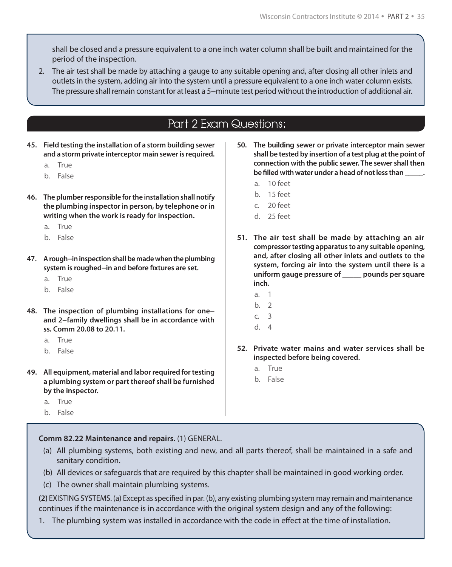shall be closed and a pressure equivalent to a one inch water column shall be built and maintained for the period of the inspection.

2. The air test shall be made by attaching a gauge to any suitable opening and, after closing all other inlets and outlets in the system, adding air into the system until a pressure equivalent to a one inch water column exists. The pressure shall remain constant for at least a 5−minute test period without the introduction of additional air.

## Part 2 Exam Questions:

- **45. Field testing the installation of a storm building sewer and a storm private interceptor main sewer is required.**
	- a. True
	- b. False
- **46. The plumber responsible for the installation shall notify the plumbing inspector in person, by telephone or in writing when the work is ready for inspection.**
	- a. True
	- b. False
- **47. A rough−in inspection shall be made when the plumbing system is roughed−in and before fixtures are set.**
	- a. True
	- b. False
- **48. The inspection of plumbing installations for one− and 2−family dwellings shall be in accordance with ss. Comm 20.08 to 20.11.**
	- a. True
	- b. False
- **49. All equipment, material and labor required for testing a plumbing system or part thereof shall be furnished by the inspector.**
	- a. True
	- b. False

#### **Comm 82.22 Maintenance and repairs.** (1) GENERAL.

- (a) All plumbing systems, both existing and new, and all parts thereof, shall be maintained in a safe and sanitary condition.
- (b) All devices or safeguards that are required by this chapter shall be maintained in good working order.
- (c) The owner shall maintain plumbing systems.

**(2)** EXISTING SYSTEMS. (a) Except as specified in par. (b), any existing plumbing system may remain and maintenance continues if the maintenance is in accordance with the original system design and any of the following:

1. The plumbing system was installed in accordance with the code in effect at the time of installation.

- **50. The building sewer or private interceptor main sewer shall be tested by insertion of a test plug at the point of connection with the public sewer. The sewer shall then be filled with water under a head of not less than \_\_\_\_\_.**
	- a. 10 feet
	- b. 15 feet
	- c. 20 feet
	- d. 25 feet
- **51. The air test shall be made by attaching an air compressor testing apparatus to any suitable opening, and, after closing all other inlets and outlets to the system, forcing air into the system until there is a uniform gauge pressure of \_\_\_\_\_ pounds per square inch.**
	- a. 1
	- b. 2
	- c. 3
	- d. 4
- **52. Private water mains and water services shall be inspected before being covered.**
	- a. True
	- b. False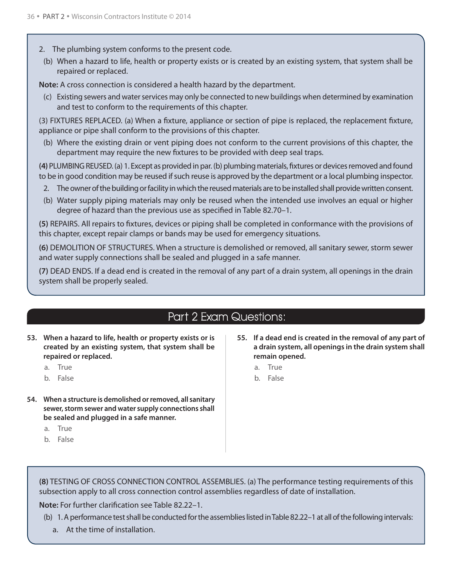- 2. The plumbing system conforms to the present code.
- (b) When a hazard to life, health or property exists or is created by an existing system, that system shall be repaired or replaced.

**Note:** A cross connection is considered a health hazard by the department.

(c) Existing sewers and water services may only be connected to new buildings when determined by examination and test to conform to the requirements of this chapter.

(3) FIXTURES REPLACED. (a) When a fixture, appliance or section of pipe is replaced, the replacement fixture, appliance or pipe shall conform to the provisions of this chapter.

(b) Where the existing drain or vent piping does not conform to the current provisions of this chapter, the department may require the new fixtures to be provided with deep seal traps.

**(4)** PLUMBING REUSED. (a) 1. Except as provided in par. (b) plumbing materials, fixtures or devices removed and found to be in good condition may be reused if such reuse is approved by the department or a local plumbing inspector.

- 2. The owner of the building or facility in which the reused materials are to be installed shall provide written consent.
- (b) Water supply piping materials may only be reused when the intended use involves an equal or higher degree of hazard than the previous use as specified in Table 82.70–1.

**(5)** REPAIRS. All repairs to fixtures, devices or piping shall be completed in conformance with the provisions of this chapter, except repair clamps or bands may be used for emergency situations.

**(6)** DEMOLITION OF STRUCTURES. When a structure is demolished or removed, all sanitary sewer, storm sewer and water supply connections shall be sealed and plugged in a safe manner.

**(7)** DEAD ENDS. If a dead end is created in the removal of any part of a drain system, all openings in the drain system shall be properly sealed.

## Part 2 Exam Questions:

- **53. When a hazard to life, health or property exists or is created by an existing system, that system shall be repaired or replaced.**
	- a. True
	- b. False
- **54. When a structure is demolished or removed, all sanitary sewer, storm sewer and water supply connections shall be sealed and plugged in a safe manner.**
	- a. True
	- b. False
- **55. If a dead end is created in the removal of any part of a drain system, all openings in the drain system shall remain opened.**
	- a. True
	- b. False

**(8)** TESTING OF CROSS CONNECTION CONTROL ASSEMBLIES. (a) The performance testing requirements of this subsection apply to all cross connection control assemblies regardless of date of installation.

**Note:** For further clarification see Table 82.22–1.

- (b) 1. A performance test shall be conducted for the assemblies listed in Table 82.22–1 at all of the following intervals:
	- a. At the time of installation.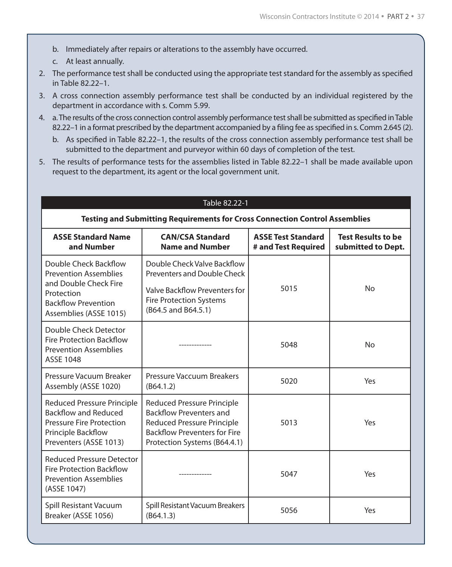- b. Immediately after repairs or alterations to the assembly have occurred.
- c. At least annually.
- 2. The performance test shall be conducted using the appropriate test standard for the assembly as specified in Table 82.22–1.
- 3. A cross connection assembly performance test shall be conducted by an individual registered by the department in accordance with s. Comm 5.99.
- 4. a. The results of the cross connection control assembly performance test shall be submitted as specified in Table 82.22–1 in a format prescribed by the department accompanied by a filing fee as specified in s. Comm 2.645 (2).
	- b. As specified in Table 82.22–1, the results of the cross connection assembly performance test shall be submitted to the department and purveyor within 60 days of completion of the test.
- 5. The results of performance tests for the assemblies listed in Table 82.22–1 shall be made available upon request to the department, its agent or the local government unit.

#### Table 82.22-1

#### **Testing and Submitting Requirements for Cross Connection Control Assemblies**

| <b>ASSE Standard Name</b><br>and Number                                                                                                              | <b>CAN/CSA Standard</b><br><b>Name and Number</b>                                                                                                                               | <b>ASSE Test Standard</b><br># and Test Required | <b>Test Results to be</b><br>submitted to Dept. |  |
|------------------------------------------------------------------------------------------------------------------------------------------------------|---------------------------------------------------------------------------------------------------------------------------------------------------------------------------------|--------------------------------------------------|-------------------------------------------------|--|
| Double Check Backflow<br><b>Prevention Assemblies</b><br>and Double Check Fire<br>Protection<br><b>Backflow Prevention</b><br>Assemblies (ASSE 1015) | Double Check Valve Backflow<br><b>Preventers and Double Check</b><br>Valve Backflow Preventers for<br><b>Fire Protection Systems</b><br>(B64.5 and B64.5.1)                     | 5015                                             | N <sub>o</sub>                                  |  |
| Double Check Detector<br><b>Fire Protection Backflow</b><br><b>Prevention Assemblies</b><br>ASSE 1048                                                |                                                                                                                                                                                 | 5048                                             | N <sub>o</sub>                                  |  |
| Pressure Vacuum Breaker<br>Assembly (ASSE 1020)                                                                                                      | Pressure Vaccuum Breakers<br>(B64.1.2)                                                                                                                                          | 5020                                             | Yes                                             |  |
| <b>Reduced Pressure Principle</b><br>Backflow and Reduced<br><b>Pressure Fire Protection</b><br>Principle Backflow<br>Preventers (ASSE 1013)         | <b>Reduced Pressure Principle</b><br><b>Backflow Preventers and</b><br><b>Reduced Pressure Principle</b><br><b>Backflow Preventers for Fire</b><br>Protection Systems (B64.4.1) | 5013                                             | Yes                                             |  |
| <b>Reduced Pressure Detector</b><br><b>Fire Protection Backflow</b><br><b>Prevention Assemblies</b><br>(ASSE 1047)                                   |                                                                                                                                                                                 | 5047                                             | Yes                                             |  |
| Spill Resistant Vacuum<br>Breaker (ASSE 1056)                                                                                                        | Spill Resistant Vacuum Breakers<br>(B64.1.3)                                                                                                                                    | 5056                                             | Yes                                             |  |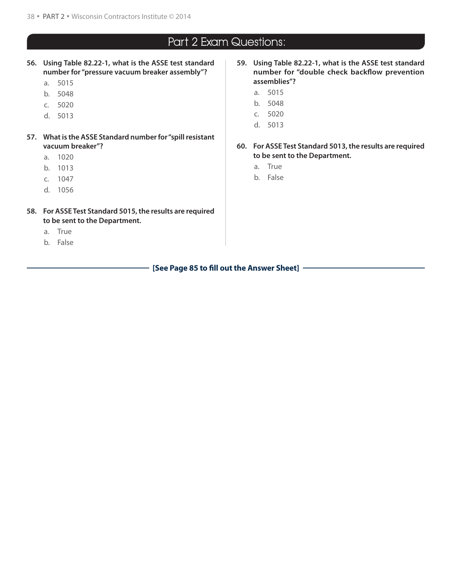- **56. Using Table 82.22-1, what is the ASSE test standard number for "pressure vacuum breaker assembly"?**
	- a. 5015
	- b. 5048
	- c. 5020
	- d. 5013
- **57. What is the ASSE Standard number for "spill resistant vacuum breaker"?**
	- a. 1020
	- b. 1013
	- c. 1047
	- d. 1056
- **58. For ASSE Test Standard 5015, the results are required to be sent to the Department.**
	- a. True
	- b. False
- **59. Using Table 82.22-1, what is the ASSE test standard number for "double check backflow prevention assemblies"?**
	- a. 5015
	- b. 5048
	- c. 5020
	- d. 5013
- **60. For ASSE Test Standard 5013, the results are required to be sent to the Department.**
	- a. True
	- b. False

**[See Page 85 to fill out the Answer Sheet]**